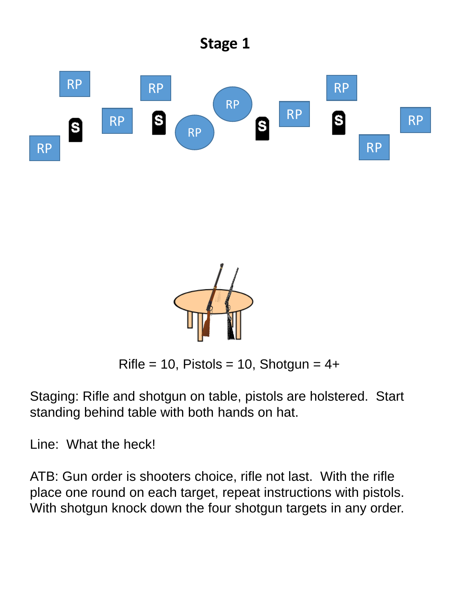



 $Rifle = 10$ , Pistols = 10, Shotgun = 4+

Staging: Rifle and shotgun on table, pistols are holstered. Start standing behind table with both hands on hat.

Line: What the heck!

ATB: Gun order is shooters choice, rifle not last. With the rifle place one round on each target, repeat instructions with pistols. With shotgun knock down the four shotgun targets in any order.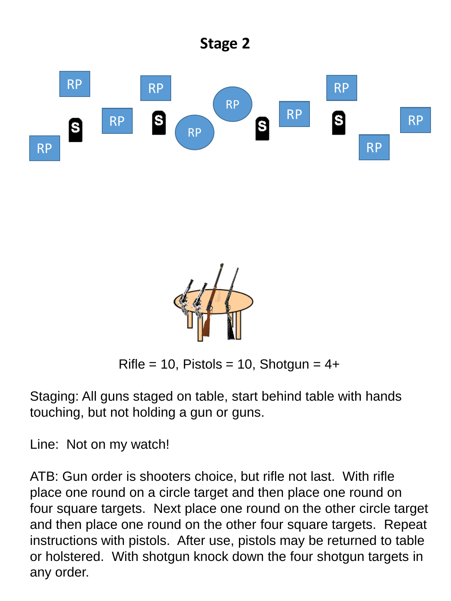



 $Rifle = 10$ , Pistols = 10, Shotgun = 4+

Staging: All guns staged on table, start behind table with hands touching, but not holding a gun or guns.

Line: Not on my watch!

ATB: Gun order is shooters choice, but rifle not last. With rifle place one round on a circle target and then place one round on four square targets. Next place one round on the other circle target and then place one round on the other four square targets. Repeat instructions with pistols. After use, pistols may be returned to table or holstered. With shotgun knock down the four shotgun targets in any order.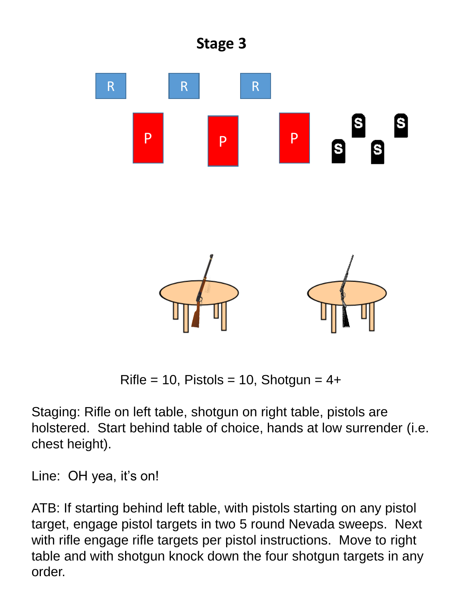

 $Rifle = 10$ , Pistols = 10, Shotgun =  $4+$ 

Staging: Rifle on left table, shotgun on right table, pistols are holstered. Start behind table of choice, hands at low surrender (i.e. chest height).

Line: OH yea, it's on!

ATB: If starting behind left table, with pistols starting on any pistol target, engage pistol targets in two 5 round Nevada sweeps. Next with rifle engage rifle targets per pistol instructions. Move to right table and with shotgun knock down the four shotgun targets in any order.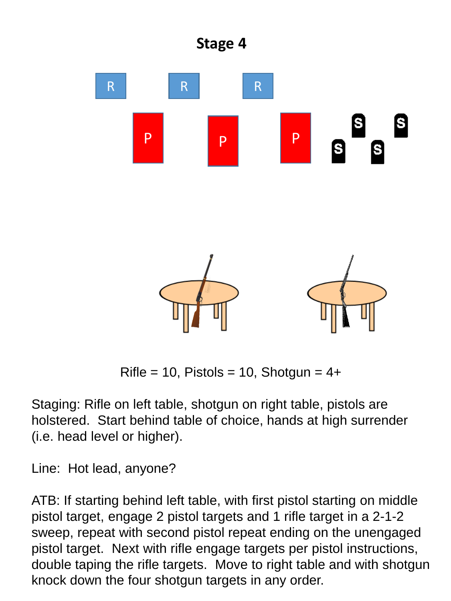

 $Rifle = 10$ , Pistols = 10, Shotgun =  $4+$ 

Staging: Rifle on left table, shotgun on right table, pistols are holstered. Start behind table of choice, hands at high surrender (i.e. head level or higher).

Line: Hot lead, anyone?

ATB: If starting behind left table, with first pistol starting on middle pistol target, engage 2 pistol targets and 1 rifle target in a 2-1-2 sweep, repeat with second pistol repeat ending on the unengaged pistol target. Next with rifle engage targets per pistol instructions, double taping the rifle targets. Move to right table and with shotgun knock down the four shotgun targets in any order.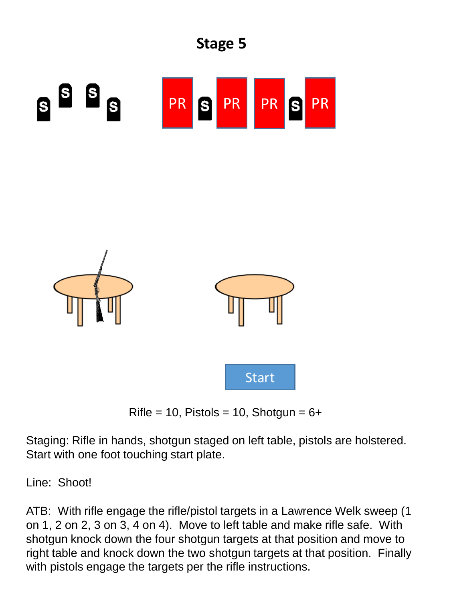







Staging: Rifle in hands, shotgun staged on left table, pistols are holstered. Start with one foot touching start plate.

Line: Shoot!

ATB: With rifle engage the rifle/pistol targets in a Lawrence Welk sweep (1 on 1, 2 on 2, 3 on 3, 4 on 4). Move to left table and make rifle safe. With shotgun knock down the four shotgun targets at that position and move to right table and knock down the two shotgun targets at that position. Finally with pistols engage the targets per the rifle instructions.